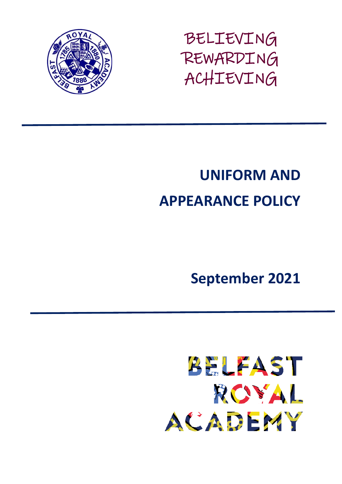

BELIEVING REWARDING ACHIEVING

# **UNIFORM AND APPEARANCE POLICY**

**September 2021**

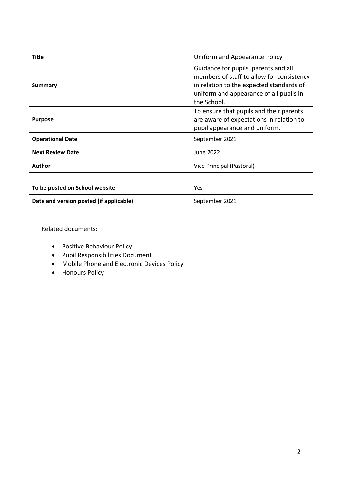| <b>Title</b>            | Uniform and Appearance Policy                                                                                                                                                           |
|-------------------------|-----------------------------------------------------------------------------------------------------------------------------------------------------------------------------------------|
| Summary                 | Guidance for pupils, parents and all<br>members of staff to allow for consistency<br>in relation to the expected standards of<br>uniform and appearance of all pupils in<br>the School. |
| <b>Purpose</b>          | To ensure that pupils and their parents<br>are aware of expectations in relation to<br>pupil appearance and uniform.                                                                    |
| <b>Operational Date</b> | September 2021                                                                                                                                                                          |
| <b>Next Review Date</b> | June 2022                                                                                                                                                                               |
| Author                  | Vice Principal (Pastoral)                                                                                                                                                               |

| To be posted on School website          | Yes            |
|-----------------------------------------|----------------|
| Date and version posted (if applicable) | September 2021 |

Related documents:

- **•** Positive Behaviour Policy
- Pupil Responsibilities Document
- Mobile Phone and Electronic Devices Policy
- Honours Policy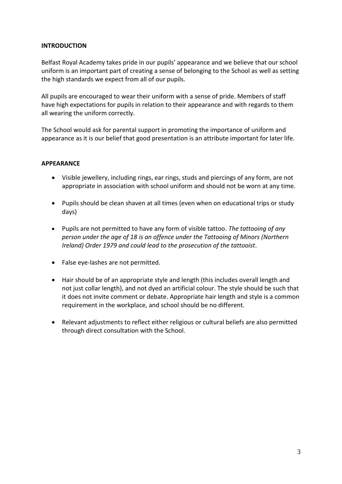# **INTRODUCTION**

Belfast Royal Academy takes pride in our pupils' appearance and we believe that our school uniform is an important part of creating a sense of belonging to the School as well as setting the high standards we expect from all of our pupils.

All pupils are encouraged to wear their uniform with a sense of pride. Members of staff have high expectations for pupils in relation to their appearance and with regards to them all wearing the uniform correctly.

The School would ask for parental support in promoting the importance of uniform and appearance as it is our belief that good presentation is an attribute important for later life.

#### **APPEARANCE**

- Visible jewellery, including rings, ear rings, studs and piercings of any form, are not appropriate in association with school uniform and should not be worn at any time.
- Pupils should be clean shaven at all times (even when on educational trips or study days)
- Pupils are not permitted to have any form of visible tattoo. *The tattooing of any person under the age of 18 is an offence under the Tattooing of Minors (Northern Ireland) Order 1979 and could lead to the prosecution of the tattooist.*
- False eye-lashes are not permitted.
- Hair should be of an appropriate style and length (this includes overall length and not just collar length), and not dyed an artificial colour. The style should be such that it does not invite comment or debate. Appropriate hair length and style is a common requirement in the workplace, and school should be no different.
- Relevant adjustments to reflect either religious or cultural beliefs are also permitted through direct consultation with the School.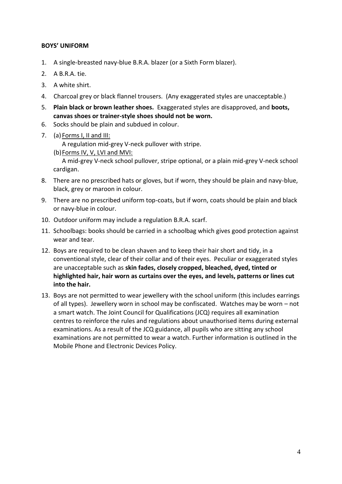# **BOYS' UNIFORM**

- 1. A single-breasted navy-blue B.R.A. blazer (or a Sixth Form blazer).
- 2. A B.R.A. tie.
- 3. A white shirt.
- 4. Charcoal grey or black flannel trousers. (Any exaggerated styles are unacceptable.)
- 5. **Plain black or brown leather shoes.** Exaggerated styles are disapproved, and **boots, canvas shoes or trainer-style shoes should not be worn.**
- 6. Socks should be plain and subdued in colour.
- 7. (a) Forms I, II and III:

A regulation mid-grey V-neck pullover with stripe.

- (b) Forms IV, V, LVI and MVI: A mid-grey V-neck school pullover, stripe optional, or a plain mid-grey V-neck school cardigan.
- 8. There are no prescribed hats or gloves, but if worn, they should be plain and navy-blue, black, grey or maroon in colour.
- 9. There are no prescribed uniform top-coats, but if worn, coats should be plain and black or navy-blue in colour.
- 10. Outdoor uniform may include a regulation B.R.A. scarf.
- 11. Schoolbags: books should be carried in a schoolbag which gives good protection against wear and tear.
- 12. Boys are required to be clean shaven and to keep their hair short and tidy, in a conventional style, clear of their collar and of their eyes. Peculiar or exaggerated styles are unacceptable such as **skin fades, closely cropped, bleached, dyed, tinted or highlighted hair, hair worn as curtains over the eyes, and levels, patterns or lines cut into the hair.**
- 13. Boys are not permitted to wear jewellery with the school uniform (this includes earrings of all types). Jewellery worn in school may be confiscated. Watches may be worn – not a smart watch. The Joint Council for Qualifications (JCQ) requires all examination centres to reinforce the rules and regulations about unauthorised items during external examinations. As a result of the JCQ guidance, all pupils who are sitting any school examinations are not permitted to wear a watch. Further information is outlined in the Mobile Phone and Electronic Devices Policy.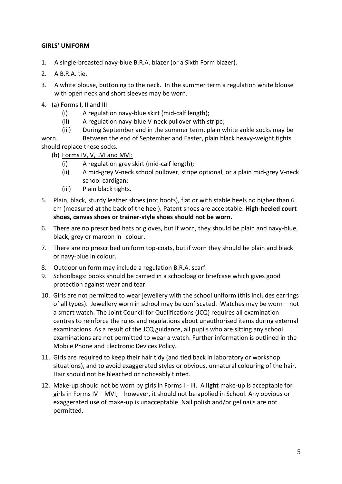# **GIRLS' UNIFORM**

- 1. A single-breasted navy-blue B.R.A. blazer (or a Sixth Form blazer).
- 2. A B.R.A. tie.
- 3. A white blouse, buttoning to the neck. In the summer term a regulation white blouse with open neck and short sleeves may be worn.
- 4. (a) Forms I, II and III:
	- (i) A regulation navy-blue skirt (mid-calf length);
	- (ii) A regulation navy-blue V-neck pullover with stripe;
	- (iii) During September and in the summer term, plain white ankle socks may be

worn. Between the end of September and Easter, plain black heavy-weight tights should replace these socks.

- (b) Forms IV, V, LVI and MVI:
	- (i) A regulation grey skirt (mid-calf length);
	- (ii) A mid-grey V-neck school pullover, stripe optional, or a plain mid-grey V-neck school cardigan;
	- (iii) Plain black tights.
- 5. Plain, black, sturdy leather shoes (not boots), flat or with stable heels no higher than 6 cm (measured at the back of the heel). Patent shoes are acceptable. **High-heeled court shoes, canvas shoes or trainer-style shoes should not be worn.**
- 6. There are no prescribed hats or gloves, but if worn, they should be plain and navy-blue, black, grey or maroon in colour.
- 7. There are no prescribed uniform top-coats, but if worn they should be plain and black or navy-blue in colour.
- 8. Outdoor uniform may include a regulation B.R.A. scarf.
- 9. Schoolbags: books should be carried in a schoolbag or briefcase which gives good protection against wear and tear.
- 10. Girls are not permitted to wear jewellery with the school uniform (this includes earrings of all types). Jewellery worn in school may be confiscated. Watches may be worn – not a smart watch. The Joint Council for Qualifications (JCQ) requires all examination centres to reinforce the rules and regulations about unauthorised items during external examinations. As a result of the JCQ guidance, all pupils who are sitting any school examinations are not permitted to wear a watch. Further information is outlined in the Mobile Phone and Electronic Devices Policy.
- 11. Girls are required to keep their hair tidy (and tied back in laboratory or workshop situations), and to avoid exaggerated styles or obvious, unnatural colouring of the hair. Hair should not be bleached or noticeably tinted.
- 12. Make-up should not be worn by girls in Forms I III. A **light** make-up is acceptable for girls in Forms IV – MVI; however, it should not be applied in School. Any obvious or exaggerated use of make-up is unacceptable. Nail polish and/or gel nails are not permitted.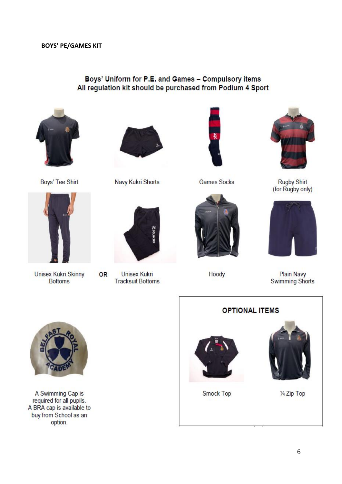# Boys' Uniform for P.E. and Games - Compulsory items All regulation kit should be purchased from Podium 4 Sport



Boys' Tee Shirt



**Unisex Kukri Skinny Bottoms** 



Navy Kukri Shorts



**Unisex Kukri OR Tracksuit Bottoms** 



**Games Socks** 





**Rugby Shirt** (for Rugby only)



Hoody

**OPTIONAL ITEMS** 

Plain Navy<br>Swimming Shorts



A Swimming Cap is required for all pupils. A BRA cap is available to buy from School as an option.



Smock Top



1/4 Zip Top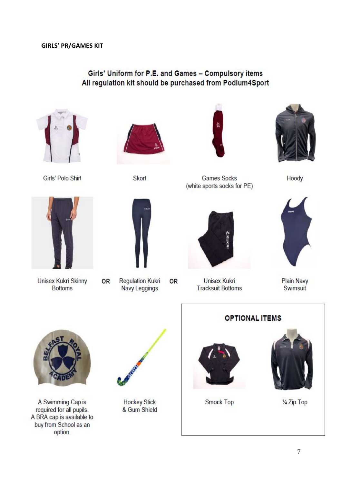# Girls' Uniform for P.E. and Games - Compulsory items All regulation kit should be purchased from Podium4Sport



Girls' Polo Shirt





**Games Socks** 

(white sports socks for PE)



Hoody



Unisex Kukri Skinny **Bottoms** 

OR



**Regulation Kukri OR** 

**Navy Leggings** 

**Unisex Kukri Tracksuit Bottoms** 



**Plain Navy** Swimsuit



A Swimming Cap is required for all pupils. A BRA cap is available to buy from School as an option.



**Hockey Stick** & Gum Shield

**OPTIONAL ITEMS** 



Smock Top



1/4 Zip Top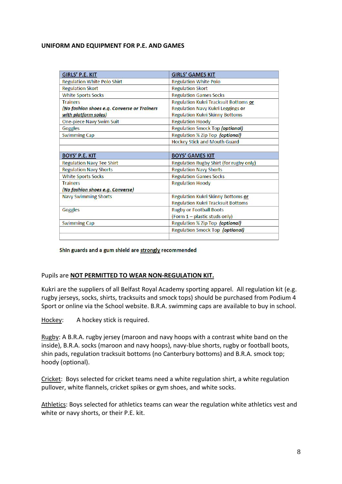#### **UNIFORM AND EQUIPMENT FOR P.E. AND GAMES**

| <b>GIRLS' P.E. KIT</b>                      | <b>GIRLS' GAMES KIT</b>                   |
|---------------------------------------------|-------------------------------------------|
| <b>Regulation White Polo Shirt</b>          | <b>Regulation White Polo</b>              |
| <b>Regulation Skort</b>                     | <b>Regulation Skort</b>                   |
| <b>White Sports Socks</b>                   | <b>Regulation Games Socks</b>             |
| <b>Trainers</b>                             | Regulation Kukri Tracksuit Bottoms or     |
| (No fashion shoes e.g. Converse or Trainers | Regulation Navy Kukri Leggings or         |
| with platform soles)                        | <b>Regulation Kukri Skinny Bottoms</b>    |
| One-piece Navy Swim Suit                    | <b>Regulation Hoody</b>                   |
| Goggles                                     | Regulation Smock Top (optional)           |
| <b>Swimming Cap</b>                         | Regulation 1/4 Zip Top (optional)         |
|                                             | Hockey Stick and Mouth Guard              |
|                                             |                                           |
|                                             |                                           |
| <b>BOYS' P.E. KIT</b>                       | <b>BOYS' GAMES KIT</b>                    |
| <b>Regulation Navy Tee Shirt</b>            | Regulation Rugby Shirt (for rugby only)   |
| <b>Regulation Navy Shorts</b>               | <b>Regulation Navy Shorts</b>             |
| <b>White Sports Socks</b>                   | <b>Regulation Games Socks</b>             |
| <b>Trainers</b>                             | <b>Regulation Hoody</b>                   |
| <u>(No fashion shoes e.g. Converse)</u>     |                                           |
| <b>Navy Swimming Shorts</b>                 | Regulation Kukri Skinny Bottoms or        |
|                                             | <b>Regulation Kukri Tracksuit Bottoms</b> |
| Goggles                                     | <b>Rugby or Football Boots</b>            |
|                                             | (Form $1$ – plastic studs only)           |
| <b>Swimming Cap</b>                         | Regulation 1/4 Zip Top (optional)         |
|                                             | Regulation Smock Top (optional)           |

Shin guards and a gum shield are strongly recommended

#### Pupils are **NOT PERMITTED TO WEAR NON-REGULATION KIT.**

Kukri are the suppliers of all Belfast Royal Academy sporting apparel. All regulation kit (e.g. rugby jerseys, socks, shirts, tracksuits and smock tops) should be purchased from Podium 4 Sport or online via the School website. B.R.A. swimming caps are available to buy in school.

Hockey: A hockey stick is required.

Rugby: A B.R.A. rugby jersey (maroon and navy hoops with a contrast white band on the inside), B.R.A. socks (maroon and navy hoops), navy-blue shorts, rugby or football boots, shin pads, regulation tracksuit bottoms (no Canterbury bottoms) and B.R.A. smock top; hoody (optional).

Cricket: Boys selected for cricket teams need a white regulation shirt, a white regulation pullover, white flannels, cricket spikes or gym shoes, and white socks.

Athletics: Boys selected for athletics teams can wear the regulation white athletics vest and white or navy shorts, or their P.E. kit.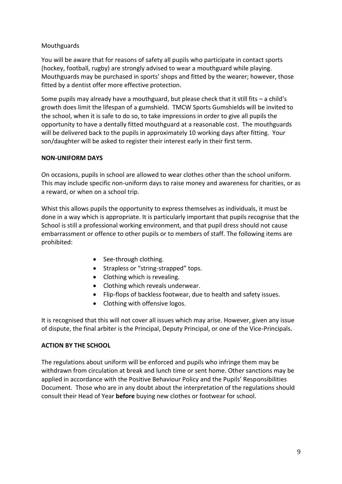# Mouthguards

You will be aware that for reasons of safety all pupils who participate in contact sports (hockey, football, rugby) are strongly advised to wear a mouthguard while playing. Mouthguards may be purchased in sports' shops and fitted by the wearer; however, those fitted by a dentist offer more effective protection.

Some pupils may already have a mouthguard, but please check that it still fits – a child's growth does limit the lifespan of a gumshield. TMCW Sports Gumshields will be invited to the school, when it is safe to do so, to take impressions in order to give all pupils the opportunity to have a dentally fitted mouthguard at a reasonable cost. The mouthguards will be delivered back to the pupils in approximately 10 working days after fitting. Your son/daughter will be asked to register their interest early in their first term.

#### **NON-UNIFORM DAYS**

On occasions, pupils in school are allowed to wear clothes other than the school uniform. This may include specific non-uniform days to raise money and awareness for charities, or as a reward, or when on a school trip.

Whist this allows pupils the opportunity to express themselves as individuals, it must be done in a way which is appropriate. It is particularly important that pupils recognise that the School is still a professional working environment, and that pupil dress should not cause embarrassment or offence to other pupils or to members of staff. The following items are prohibited:

- See-through clothing.
- Strapless or "string-strapped" tops.
- Clothing which is revealing.
- Clothing which reveals underwear.
- Flip-flops of backless footwear, due to health and safety issues.
- Clothing with offensive logos.

It is recognised that this will not cover all issues which may arise. However, given any issue of dispute, the final arbiter is the Principal, Deputy Principal, or one of the Vice-Principals.

# **ACTION BY THE SCHOOL**

The regulations about uniform will be enforced and pupils who infringe them may be withdrawn from circulation at break and lunch time or sent home. Other sanctions may be applied in accordance with the Positive Behaviour Policy and the Pupils' Responsibilities Document. Those who are in any doubt about the interpretation of the regulations should consult their Head of Year **before** buying new clothes or footwear for school.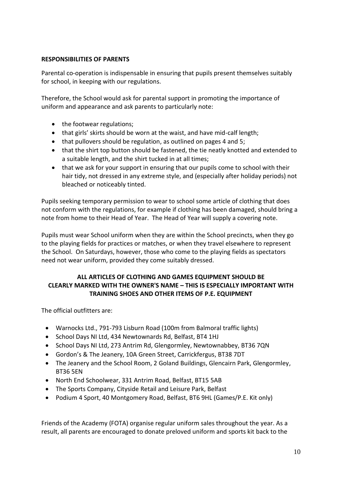# **RESPONSIBILITIES OF PARENTS**

Parental co-operation is indispensable in ensuring that pupils present themselves suitably for school, in keeping with our regulations.

Therefore, the School would ask for parental support in promoting the importance of uniform and appearance and ask parents to particularly note:

- the footwear regulations;
- that girls' skirts should be worn at the waist, and have mid-calf length;
- that pullovers should be regulation, as outlined on pages 4 and 5;
- that the shirt top button should be fastened, the tie neatly knotted and extended to a suitable length, and the shirt tucked in at all times;
- that we ask for your support in ensuring that our pupils come to school with their hair tidy, not dressed in any extreme style, and (especially after holiday periods) not bleached or noticeably tinted.

Pupils seeking temporary permission to wear to school some article of clothing that does not conform with the regulations, for example if clothing has been damaged, should bring a note from home to their Head of Year. The Head of Year will supply a covering note.

Pupils must wear School uniform when they are within the School precincts, when they go to the playing fields for practices or matches, or when they travel elsewhere to represent the School. On Saturdays, however, those who come to the playing fields as spectators need not wear uniform, provided they come suitably dressed.

# **ALL ARTICLES OF CLOTHING AND GAMES EQUIPMENT SHOULD BE CLEARLY MARKED WITH THE OWNER'S NAME – THIS IS ESPECIALLY IMPORTANT WITH TRAINING SHOES AND OTHER ITEMS OF P.E. EQUIPMENT**

The official outfitters are:

- Warnocks Ltd., 791-793 Lisburn Road (100m from Balmoral traffic lights)
- School Days NI Ltd, 434 Newtownards Rd, Belfast, BT4 1HJ
- School Days NI Ltd, 273 Antrim Rd, Glengormley, Newtownabbey, BT36 7QN
- Gordon's & The Jeanery, 10A Green Street, Carrickfergus, BT38 7DT
- The Jeanery and the School Room, 2 Goland Buildings, Glencairn Park, Glengormley, BT36 5EN
- North End Schoolwear, 331 Antrim Road, Belfast, BT15 5AB
- The Sports Company, Cityside Retail and Leisure Park, Belfast
- Podium 4 Sport, 40 Montgomery Road, Belfast, BT6 9HL (Games/P.E. Kit only)

Friends of the Academy (FOTA) organise regular uniform sales throughout the year. As a result, all parents are encouraged to donate preloved uniform and sports kit back to the